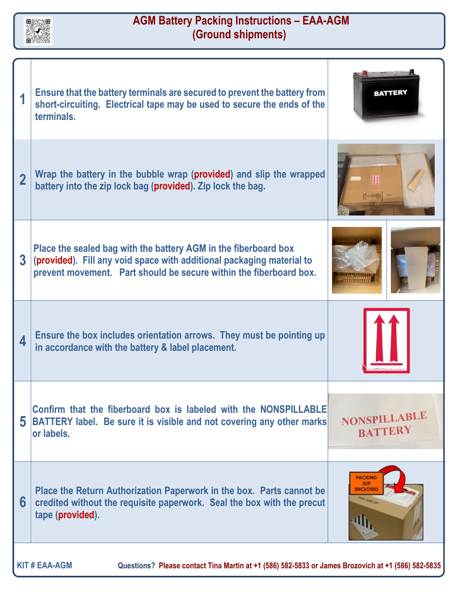

## **AGM Battery Packing Instructions – EAA-AGM (Ground shipments)**

|                                                                                                                            | Ensure that the battery terminals are secured to prevent the battery from<br>short-circuiting. Electrical tape may be used to secure the ends of the<br>terminals.                                             | <b>BATTERY</b>                                                         |
|----------------------------------------------------------------------------------------------------------------------------|----------------------------------------------------------------------------------------------------------------------------------------------------------------------------------------------------------------|------------------------------------------------------------------------|
| $\overline{2}$                                                                                                             | Wrap the battery in the bubble wrap (provided) and slip the wrapped<br>battery into the zip lock bag (provided). Zip lock the bag.                                                                             |                                                                        |
| $\overline{\mathbf{3}}$                                                                                                    | Place the sealed bag with the battery AGM in the fiberboard box<br>(provided). Fill any void space with additional packaging material to<br>prevent movement. Part should be secure within the fiberboard box. |                                                                        |
| 4                                                                                                                          | Ensure the box includes orientation arrows. They must be pointing up<br>in accordance with the battery & label placement.                                                                                      |                                                                        |
| 5                                                                                                                          | Confirm that the fiberboard box is labeled with the NONSPILLABLE<br><b>BATTERY label.</b> Be sure it is visible and not covering any other marks<br>lor labels.                                                | NONSPILLABLE<br><b>BATTERY</b>                                         |
| 6                                                                                                                          | Place the Return Authorization Paperwork in the box. Parts cannot be<br>credited without the requisite paperwork. Seal the box with the precut<br>tape (provided).                                             | <b>PACKING</b><br><b>SLIP</b><br><b>ENCLOSED</b><br><b>DOS STOP UP</b> |
| <b>KIT # EAA-AGM</b><br>Questions? Please contact Tina Martin at +1 (586) 582-5833 or James Brozovich at +1 (586) 582-5835 |                                                                                                                                                                                                                |                                                                        |